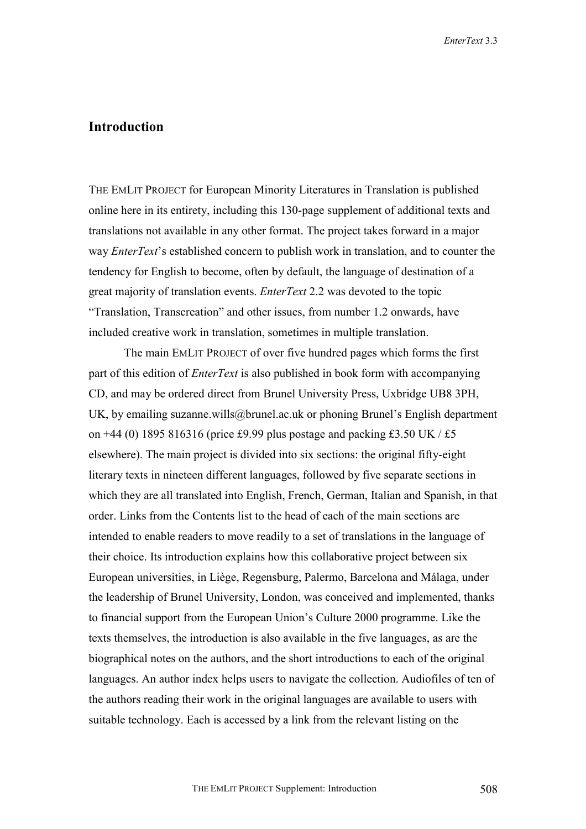## **Introduction**

THE EMLIT PROJECT for European Minority Literatures in Translation is published online here in its entirety, including this 130-page supplement of additional texts and translations not available in any other format. The project takes forward in a major way *EnterText*'s established concern to publish work in translation, and to counter the tendency for English to become, often by default, the language of destination of a great majority of translation events. *EnterText* 2.2 was devoted to the topic "Translation, Transcreation" and other issues, from number 1.2 onwards, have included creative work in translation, sometimes in multiple translation.

The main EMLIT PROJECT of over five hundred pages which forms the first part of this edition of *EnterText* is also published in book form with accompanying CD, and may be ordered direct from Brunel University Press, Uxbridge UB8 3PH, UK, by emailing suzanne.wills@brunel.ac.uk or phoning Brunel's English department on +44 (0) 1895 816316 (price £9.99 plus postage and packing £3.50 UK / £5 elsewhere). The main project is divided into six sections: the original fifty-eight literary texts in nineteen different languages, followed by five separate sections in which they are all translated into English, French, German, Italian and Spanish, in that order. Links from the Contents list to the head of each of the main sections are intended to enable readers to move readily to a set of translations in the language of their choice. Its introduction explains how this collaborative project between six European universities, in Liège, Regensburg, Palermo, Barcelona and Málaga, under the leadership of Brunel University, London, was conceived and implemented, thanks to financial support from the European Union's Culture 2000 programme. Like the texts themselves, the introduction is also available in the five languages, as are the biographical notes on the authors, and the short introductions to each of the original languages. An author index helps users to navigate the collection. Audiofiles of ten of the authors reading their work in the original languages are available to users with suitable technology. Each is accessed by a link from the relevant listing on the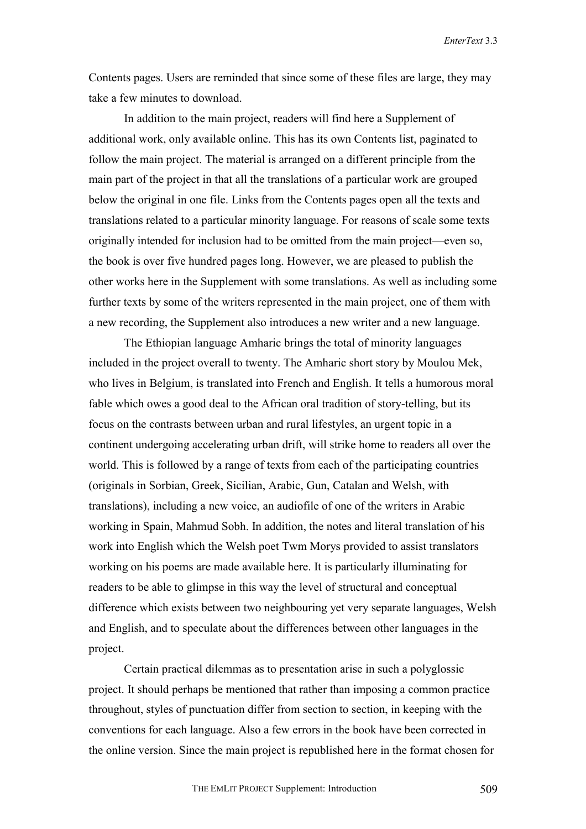*EnterText* 3.3

Contents pages. Users are reminded that since some of these files are large, they may take a few minutes to download.

In addition to the main project, readers will find here a Supplement of additional work, only available online. This has its own Contents list, paginated to follow the main project. The material is arranged on a different principle from the main part of the project in that all the translations of a particular work are grouped below the original in one file. Links from the Contents pages open all the texts and translations related to a particular minority language. For reasons of scale some texts originally intended for inclusion had to be omitted from the main project—even so, the book is over five hundred pages long. However, we are pleased to publish the other works here in the Supplement with some translations. As well as including some further texts by some of the writers represented in the main project, one of them with a new recording, the Supplement also introduces a new writer and a new language.

The Ethiopian language Amharic brings the total of minority languages included in the project overall to twenty. The Amharic short story by Moulou Mek, who lives in Belgium, is translated into French and English. It tells a humorous moral fable which owes a good deal to the African oral tradition of story-telling, but its focus on the contrasts between urban and rural lifestyles, an urgent topic in a continent undergoing accelerating urban drift, will strike home to readers all over the world. This is followed by a range of texts from each of the participating countries (originals in Sorbian, Greek, Sicilian, Arabic, Gun, Catalan and Welsh, with translations), including a new voice, an audiofile of one of the writers in Arabic working in Spain, Mahmud Sobh. In addition, the notes and literal translation of his work into English which the Welsh poet Twm Morys provided to assist translators working on his poems are made available here. It is particularly illuminating for readers to be able to glimpse in this way the level of structural and conceptual difference which exists between two neighbouring yet very separate languages, Welsh and English, and to speculate about the differences between other languages in the project.

 Certain practical dilemmas as to presentation arise in such a polyglossic project. It should perhaps be mentioned that rather than imposing a common practice throughout, styles of punctuation differ from section to section, in keeping with the conventions for each language. Also a few errors in the book have been corrected in the online version. Since the main project is republished here in the format chosen for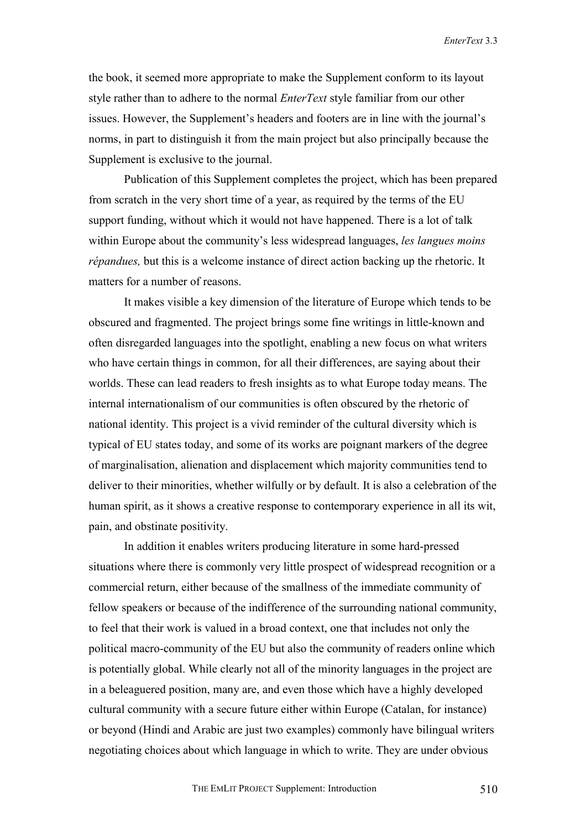the book, it seemed more appropriate to make the Supplement conform to its layout style rather than to adhere to the normal *EnterText* style familiar from our other issues. However, the Supplement's headers and footers are in line with the journal's norms, in part to distinguish it from the main project but also principally because the Supplement is exclusive to the journal.

Publication of this Supplement completes the project, which has been prepared from scratch in the very short time of a year, as required by the terms of the EU support funding, without which it would not have happened. There is a lot of talk within Europe about the community's less widespread languages, *les langues moins répandues*, but this is a welcome instance of direct action backing up the rhetoric. It matters for a number of reasons.

It makes visible a key dimension of the literature of Europe which tends to be obscured and fragmented. The project brings some fine writings in little-known and often disregarded languages into the spotlight, enabling a new focus on what writers who have certain things in common, for all their differences, are saying about their worlds. These can lead readers to fresh insights as to what Europe today means. The internal internationalism of our communities is often obscured by the rhetoric of national identity. This project is a vivid reminder of the cultural diversity which is typical of EU states today, and some of its works are poignant markers of the degree of marginalisation, alienation and displacement which majority communities tend to deliver to their minorities, whether wilfully or by default. It is also a celebration of the human spirit, as it shows a creative response to contemporary experience in all its wit, pain, and obstinate positivity.

In addition it enables writers producing literature in some hard-pressed situations where there is commonly very little prospect of widespread recognition or a commercial return, either because of the smallness of the immediate community of fellow speakers or because of the indifference of the surrounding national community, to feel that their work is valued in a broad context, one that includes not only the political macro-community of the EU but also the community of readers online which is potentially global. While clearly not all of the minority languages in the project are in a beleaguered position, many are, and even those which have a highly developed cultural community with a secure future either within Europe (Catalan, for instance) or beyond (Hindi and Arabic are just two examples) commonly have bilingual writers negotiating choices about which language in which to write. They are under obvious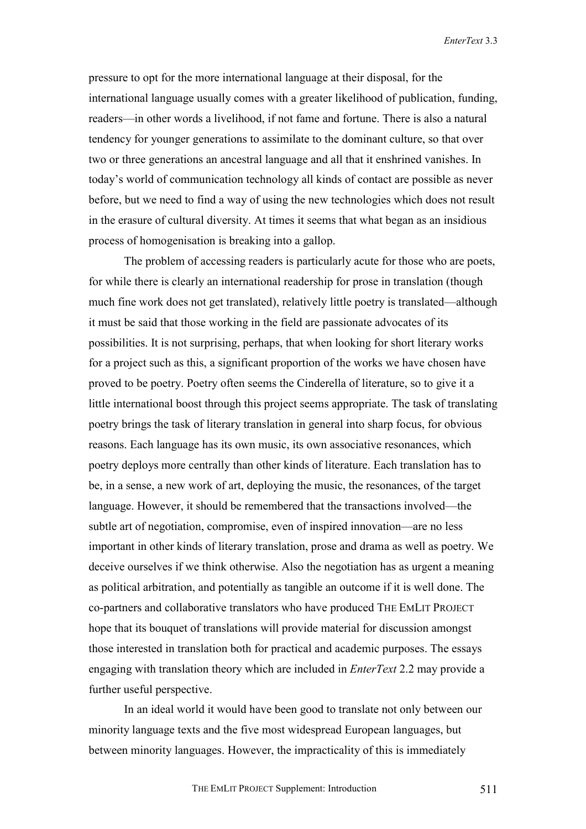pressure to opt for the more international language at their disposal, for the international language usually comes with a greater likelihood of publication, funding, readers—in other words a livelihood, if not fame and fortune. There is also a natural tendency for younger generations to assimilate to the dominant culture, so that over two or three generations an ancestral language and all that it enshrined vanishes. In today's world of communication technology all kinds of contact are possible as never before, but we need to find a way of using the new technologies which does not result in the erasure of cultural diversity. At times it seems that what began as an insidious process of homogenisation is breaking into a gallop.

The problem of accessing readers is particularly acute for those who are poets, for while there is clearly an international readership for prose in translation (though much fine work does not get translated), relatively little poetry is translated—although it must be said that those working in the field are passionate advocates of its possibilities. It is not surprising, perhaps, that when looking for short literary works for a project such as this, a significant proportion of the works we have chosen have proved to be poetry. Poetry often seems the Cinderella of literature, so to give it a little international boost through this project seems appropriate. The task of translating poetry brings the task of literary translation in general into sharp focus, for obvious reasons. Each language has its own music, its own associative resonances, which poetry deploys more centrally than other kinds of literature. Each translation has to be, in a sense, a new work of art, deploying the music, the resonances, of the target language. However, it should be remembered that the transactions involved—the subtle art of negotiation, compromise, even of inspired innovation—are no less important in other kinds of literary translation, prose and drama as well as poetry. We deceive ourselves if we think otherwise. Also the negotiation has as urgent a meaning as political arbitration, and potentially as tangible an outcome if it is well done. The co-partners and collaborative translators who have produced THE EMLIT PROJECT hope that its bouquet of translations will provide material for discussion amongst those interested in translation both for practical and academic purposes. The essays engaging with translation theory which are included in *EnterText* 2.2 may provide a further useful perspective.

In an ideal world it would have been good to translate not only between our minority language texts and the five most widespread European languages, but between minority languages. However, the impracticality of this is immediately